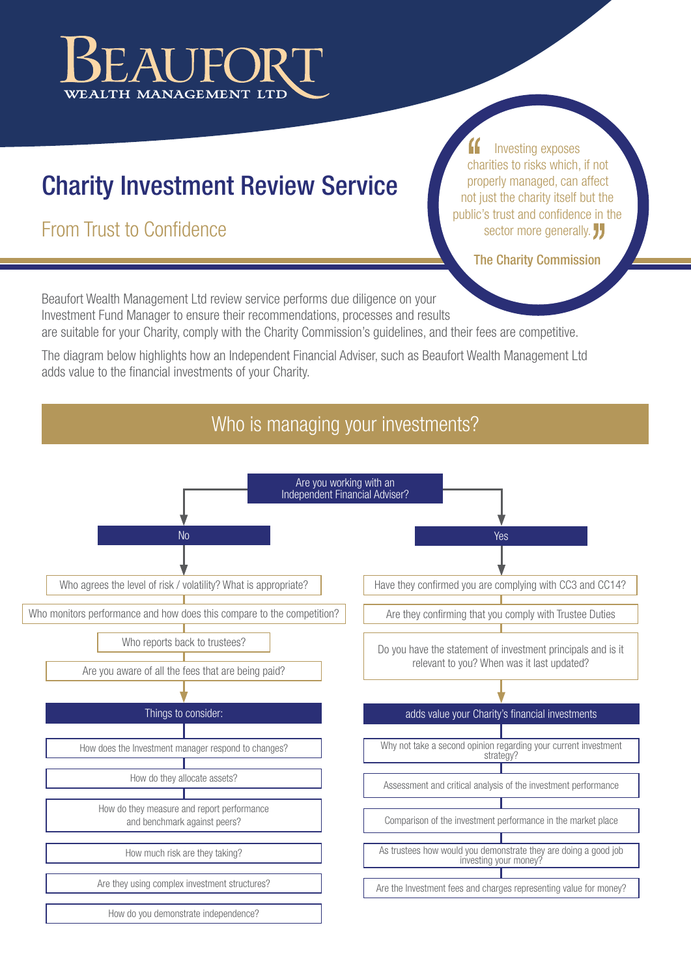# $\top$ **ITH MANAGEMENT**

## Charity Investment Review Service

From Trust to Confidence

Investing exposes charities to risks which, if not properly managed, can affect not just the charity itself but the public's trust and confidence in the sector more generally. **11** 

The Charity Commission

Beaufort Wealth Management Ltd review service performs due diligence on your Investment Fund Manager to ensure their recommendations, processes and results are suitable for your Charity, comply with the Charity Commission's guidelines, and their fees are competitive.

The diagram below highlights how an Independent Financial Adviser, such as Beaufort Wealth Management Ltd adds value to the financial investments of your Charity.

#### Who is managing your investments?